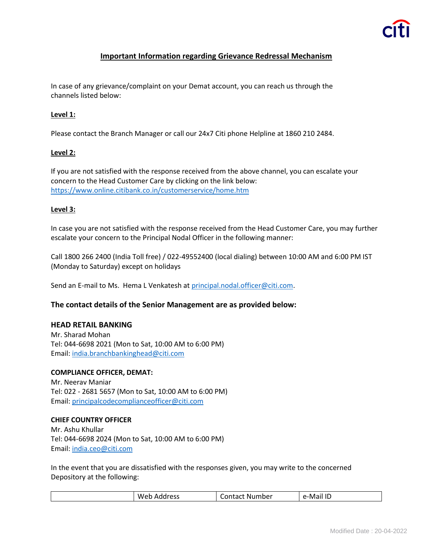# **Important Information regarding Grievance Redressal Mechanism**

In case of any grievance/complaint on your Demat account, you can reach us through the channels listed below:

## **Level 1:**

Please contact the Branch Manager or call our 24x7 Citi phone Helpline at 1860 210 2484.

### **Level 2:**

If you are not satisfied with the response received from the above channel, you can escalate your concern to the Head Customer Care by clicking on the link below: <https://www.online.citibank.co.in/customerservice/home.htm>

### **Level 3:**

In case you are not satisfied with the response received from the Head Customer Care, you may further escalate your concern to the Principal Nodal Officer in the following manner:

Call 1800 266 2400 (India Toll free) / 022-49552400 (local dialing) between 10:00 AM and 6:00 PM IST (Monday to Saturday) except on holidays

Send an E-mail to Ms. Hema L Venkatesh at [principal.nodal.officer@citi.com.](mailto:principal.nodal.officer@citi.com)

# **The contact details of the Senior Management are as provided below:**

### **HEAD RETAIL BANKING**

Mr. Sharad Mohan Tel: 044-6698 2021 (Mon to Sat, 10:00 AM to 6:00 PM) Email: [india.branchbankinghead@citi.com](mailto:india.branchbankinghead@citi.com)

### **COMPLIANCE OFFICER, DEMAT:**

Mr. Neerav Maniar Tel: 022 - 2681 5657 (Mon to Sat, 10:00 AM to 6:00 PM) Email: [principalcodecomplianceofficer@citi.com](mailto:principalcodecomplianceofficer@citi.com)

### **CHIEF COUNTRY OFFICER**

Mr. Ashu Khullar Tel: 044-6698 2024 (Mon to Sat, 10:00 AM to 6:00 PM) Email: [india.ceo@citi.com](mailto:india.ceo@citi.com)

In the event that you are dissatisfied with the responses given, you may write to the concerned Depository at the following:

| Weh<br>annracc<br>e-Mar<br>umber.<br>`ontact<br>NU<br>ΔC<br>гас<br>ᅠ╹<br>∼<br>ີ<br>. .<br>. .<br>ັ<br>_______<br>______ |
|-------------------------------------------------------------------------------------------------------------------------|
|-------------------------------------------------------------------------------------------------------------------------|